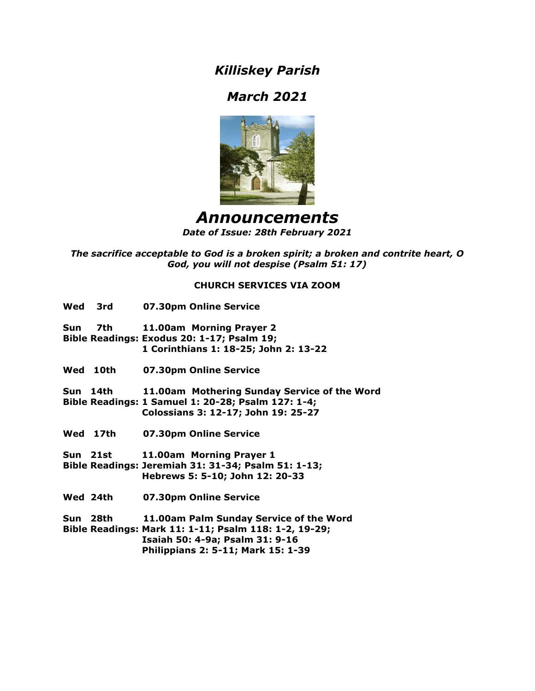*Killiskey Parish*

# *March 2021*



## *Announcements Date of Issue: 28th February 2021*

*The sacrifice acceptable to God is a broken spirit; a broken and contrite heart, O God, you will not despise (Psalm 51: 17)*

## **CHURCH SERVICES VIA ZOOM**

| Wed 3rd  | 07.30pm Online Service                                                                                                                                                    |
|----------|---------------------------------------------------------------------------------------------------------------------------------------------------------------------------|
| Sun 7th  | 11.00am Morning Prayer 2<br>Bible Readings: Exodus 20: 1-17; Psalm 19;<br>1 Corinthians 1: 18-25; John 2: 13-22                                                           |
| Wed 10th | 07.30pm Online Service                                                                                                                                                    |
| Sun 14th | 11.00am Mothering Sunday Service of the Word<br>Bible Readings: 1 Samuel 1: 20-28; Psalm 127: 1-4;<br>Colossians 3: 12-17; John 19: 25-27                                 |
| Wed 17th | 07.30pm Online Service                                                                                                                                                    |
| Sun 21st | 11.00am Morning Prayer 1<br>Bible Readings: Jeremiah 31: 31-34; Psalm 51: 1-13;<br>Hebrews 5: 5-10; John 12: 20-33                                                        |
| Wed 24th | 07.30pm Online Service                                                                                                                                                    |
| Sun 28th | 11.00am Palm Sunday Service of the Word<br>Bible Readings: Mark 11: 1-11; Psalm 118: 1-2, 19-29;<br>Isaiah 50: 4-9a; Psalm 31: 9-16<br>Philippians 2: 5-11; Mark 15: 1-39 |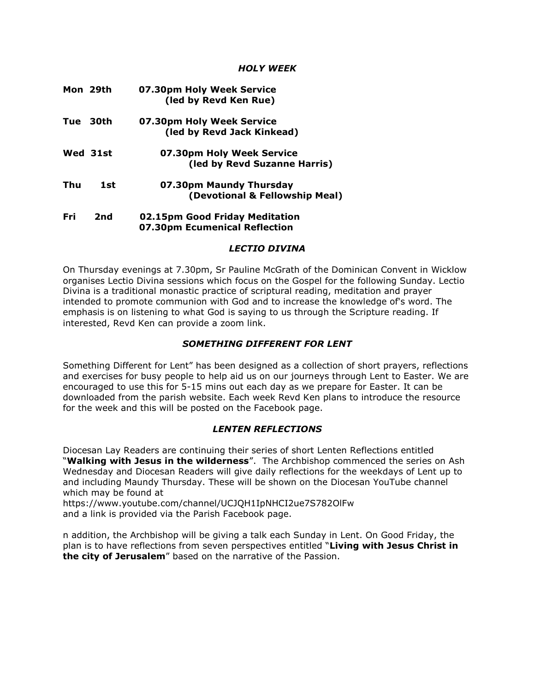## *HOLY WEEK*

|      | Mon 29th | 07.30pm Holy Week Service<br>(led by Revd Ken Rue)              |
|------|----------|-----------------------------------------------------------------|
| Tue  | 30th     | 07.30pm Holy Week Service<br>(led by Revd Jack Kinkead)         |
|      | Wed 31st | 07.30pm Holy Week Service<br>(led by Revd Suzanne Harris)       |
| Thu  | 1st      | 07.30pm Maundy Thursday<br>(Devotional & Fellowship Meal)       |
| Fri. | 2nd      | 02.15pm Good Friday Meditation<br>07.30pm Ecumenical Reflection |

### *LECTIO DIVINA*

On Thursday evenings at 7.30pm, Sr Pauline McGrath of the Dominican Convent in Wicklow organises Lectio Divina sessions which focus on the Gospel for the following Sunday. Lectio Divina is a traditional monastic practice of scriptural reading, meditation and prayer intended to promote communion with God and to increase the knowledge of's word. The emphasis is on listening to what God is saying to us through the Scripture reading. If interested, Revd Ken can provide a zoom link.

## *SOMETHING DIFFERENT FOR LENT*

Something Different for Lent" has been designed as a collection of short prayers, reflections and exercises for busy people to help aid us on our journeys through Lent to Easter. We are encouraged to use this for 5-15 mins out each day as we prepare for Easter. It can be downloaded from the parish website. Each week Revd Ken plans to introduce the resource for the week and this will be posted on the Facebook page.

## *LENTEN REFLECTIONS*

Diocesan Lay Readers are continuing their series of short Lenten Reflections entitled "**Walking with Jesus in the wilderness**". The Archbishop commenced the series on Ash Wednesday and Diocesan Readers will give daily reflections for the weekdays of Lent up to and including Maundy Thursday. These will be shown on the Diocesan YouTube channel which may be found at

https://www.youtube.com/channel/UCJQH1IpNHCI2ue7S782OlFw and a link is provided via the Parish Facebook page.

n addition, the Archbishop will be giving a talk each Sunday in Lent. On Good Friday, the plan is to have reflections from seven perspectives entitled "**Living with Jesus Christ in the city of Jerusalem**" based on the narrative of the Passion.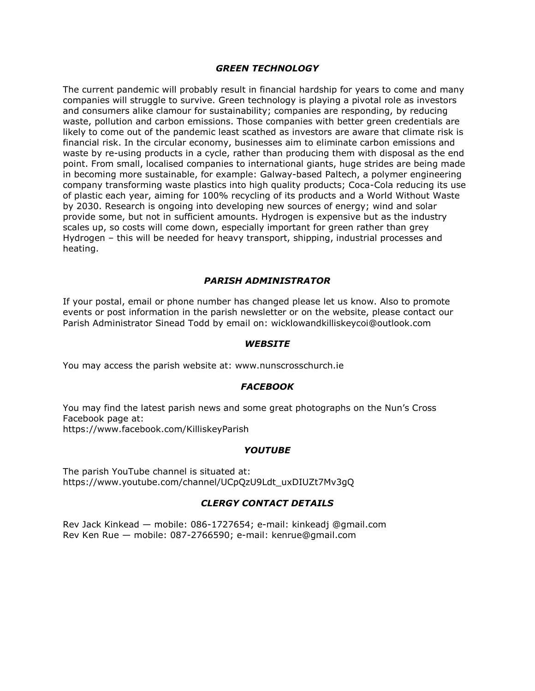## *GREEN TECHNOLOGY*

The current pandemic will probably result in financial hardship for years to come and many companies will struggle to survive. Green technology is playing a pivotal role as investors and consumers alike clamour for sustainability; companies are responding, by reducing waste, pollution and carbon emissions. Those companies with better green credentials are likely to come out of the pandemic least scathed as investors are aware that climate risk is financial risk. In the circular economy, businesses aim to eliminate carbon emissions and waste by re-using products in a cycle, rather than producing them with disposal as the end point. From small, localised companies to international giants, huge strides are being made in becoming more sustainable, for example: Galway-based Paltech, a polymer engineering company transforming waste plastics into high quality products; Coca-Cola reducing its use of plastic each year, aiming for 100% recycling of its products and a World Without Waste by 2030. Research is ongoing into developing new sources of energy; wind and solar provide some, but not in sufficient amounts. Hydrogen is expensive but as the industry scales up, so costs will come down, especially important for green rather than grey Hydrogen – this will be needed for heavy transport, shipping, industrial processes and heating.

## *PARISH ADMINISTRATOR*

If your postal, email or phone number has changed please let us know. Also to promote events or post information in the parish newsletter or on the website, please contact our Parish Administrator Sinead Todd by email on: wicklowandkilliskeycoi@outlook.com

#### *WEBSITE*

You may access the parish website at: www.nunscrosschurch.ie

## *FACEBOOK*

You may find the latest parish news and some great photographs on the Nun's Cross Facebook page at: https://www.facebook.com/KilliskeyParish

## *YOUTUBE*

The parish YouTube channel is situated at: https://www.youtube.com/channel/UCpQzU9Ldt\_uxDIUZt7Mv3gQ

## *CLERGY CONTACT DETAILS*

Rev Jack Kinkead — mobile: 086-1727654; e-mail: kinkeadj @gmail.com Rev Ken Rue — mobile: 087-2766590; e-mail: kenrue@gmail.com